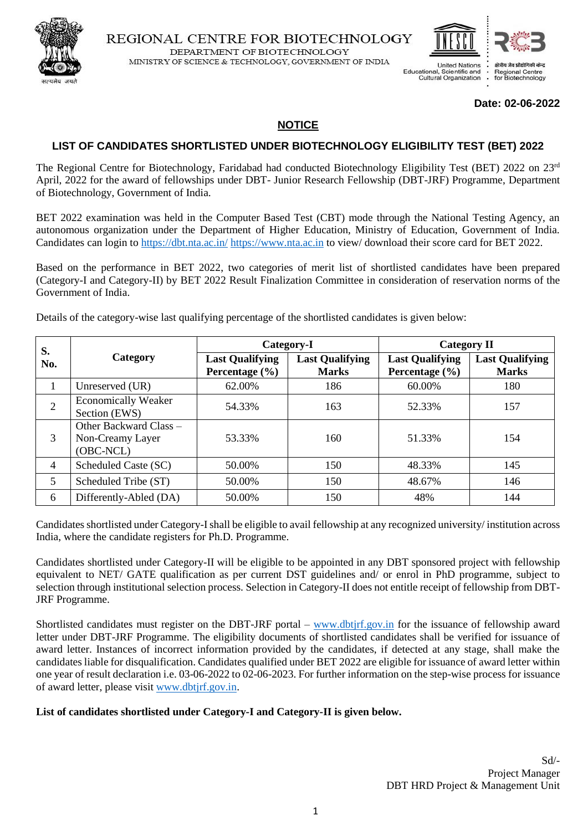



#### **Date: 02-06-2022**

#### **NOTICE**

#### **LIST OF CANDIDATES SHORTLISTED UNDER BIOTECHNOLOGY ELIGIBILITY TEST (BET) 2022**

The Regional Centre for Biotechnology, Faridabad had conducted Biotechnology Eligibility Test (BET) 2022 on 23rd April, 2022 for the award of fellowships under DBT- Junior Research Fellowship (DBT-JRF) Programme, Department of Biotechnology, Government of India.

BET 2022 examination was held in the Computer Based Test (CBT) mode through the National Testing Agency, an autonomous organization under the Department of Higher Education, Ministry of Education, Government of India. Candidates can login to<https://dbt.nta.ac.in/> [https://www.nta.ac.in](https://www.nta.ac.in/) to view/ download their score card for BET 2022.

Based on the performance in BET 2022, two categories of merit list of shortlisted candidates have been prepared (Category-I and Category-II) by BET 2022 Result Finalization Committee in consideration of reservation norms of the Government of India.

Details of the category-wise last qualifying percentage of the shortlisted candidates is given below:

| S.             | Category                                                | Category-I                                   |                                        | <b>Category II</b>                           |                                        |
|----------------|---------------------------------------------------------|----------------------------------------------|----------------------------------------|----------------------------------------------|----------------------------------------|
| No.            |                                                         | <b>Last Qualifying</b><br>Percentage $(\% )$ | <b>Last Qualifying</b><br><b>Marks</b> | <b>Last Qualifying</b><br>Percentage $(\% )$ | <b>Last Qualifying</b><br><b>Marks</b> |
|                | Unreserved (UR)                                         | 62.00%                                       | 186                                    | 60.00%                                       | 180                                    |
| 2              | <b>Economically Weaker</b><br>Section (EWS)             | 54.33%                                       | 163                                    | 52.33%                                       | 157                                    |
| 3              | Other Backward Class –<br>Non-Creamy Layer<br>(OBC-NCL) | 53.33%                                       | 160                                    | 51.33%                                       | 154                                    |
| $\overline{4}$ | Scheduled Caste (SC)                                    | 50.00%                                       | 150                                    | 48.33%                                       | 145                                    |
| 5              | Scheduled Tribe (ST)                                    | 50.00%                                       | 150                                    | 48.67%                                       | 146                                    |
| 6              | Differently-Abled (DA)                                  | 50.00%                                       | 150                                    | 48%                                          | 144                                    |

Candidates shortlisted under Category-I shall be eligible to avail fellowship at any recognized university/ institution across India, where the candidate registers for Ph.D. Programme.

Candidates shortlisted under Category-II will be eligible to be appointed in any DBT sponsored project with fellowship equivalent to NET/ GATE qualification as per current DST guidelines and/ or enrol in PhD programme, subject to selection through institutional selection process. Selection in Category-II does not entitle receipt of fellowship from DBT-JRF Programme.

Shortlisted candidates must register on the DBT-JRF portal – [www.dbtjrf.gov.in](http://www.dbtjrf.gov.in/) for the issuance of fellowship award letter under DBT-JRF Programme. The eligibility documents of shortlisted candidates shall be verified for issuance of award letter. Instances of incorrect information provided by the candidates, if detected at any stage, shall make the candidates liable for disqualification. Candidates qualified under BET 2022 are eligible for issuance of award letter within one year of result declaration i.e. 03-06-2022 to 02-06-2023. For further information on the step-wise process for issuance of award letter, please visit [www.dbtjrf.gov.in.](http://www.dbtjrf.gov.in/)

#### **List of candidates shortlisted under Category-I and Category-II is given below.**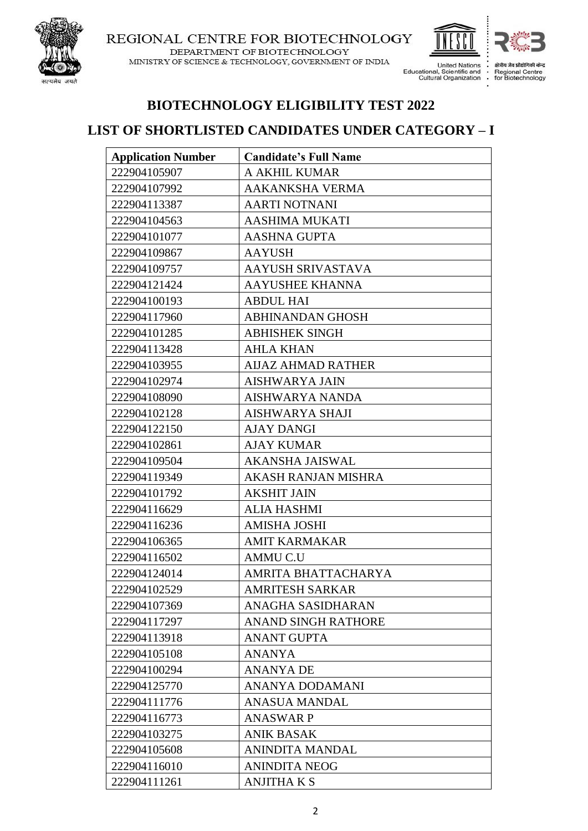

#### REGIONAL CENTRE FOR BIOTECHNOLOGY DEPARTMENT OF BIOTECHNOLOGY

MINISTRY OF SCIENCE & TECHNOLOGY, GOVERNMENT OF INDIA



 $\vdots$ 

**United Nations** Educational, Scientific and<br>Cultural Organization

क्षेत्रीय जैव प्रौ Regional Centre<br>for Biotechnology

# **BIOTECHNOLOGY ELIGIBILITY TEST 2022**

### **LIST OF SHORTLISTED CANDIDATES UNDER CATEGORY – I**

| <b>Application Number</b> | <b>Candidate's Full Name</b> |
|---------------------------|------------------------------|
| 222904105907              | A AKHIL KUMAR                |
| 222904107992              | <b>AAKANKSHA VERMA</b>       |
| 222904113387              | <b>AARTI NOTNANI</b>         |
| 222904104563              | <b>AASHIMA MUKATI</b>        |
| 222904101077              | <b>AASHNA GUPTA</b>          |
| 222904109867              | <b>AAYUSH</b>                |
| 222904109757              | AAYUSH SRIVASTAVA            |
| 222904121424              | <b>AAYUSHEE KHANNA</b>       |
| 222904100193              | <b>ABDUL HAI</b>             |
| 222904117960              | <b>ABHINANDAN GHOSH</b>      |
| 222904101285              | <b>ABHISHEK SINGH</b>        |
| 222904113428              | <b>AHLA KHAN</b>             |
| 222904103955              | <b>AIJAZ AHMAD RATHER</b>    |
| 222904102974              | <b>AISHWARYA JAIN</b>        |
| 222904108090              | AISHWARYA NANDA              |
| 222904102128              | <b>AISHWARYA SHAJI</b>       |
| 222904122150              | AJAY DANGI                   |
| 222904102861              | <b>AJAY KUMAR</b>            |
| 222904109504              | <b>AKANSHA JAISWAL</b>       |
| 222904119349              | AKASH RANJAN MISHRA          |
| 222904101792              | <b>AKSHIT JAIN</b>           |
| 222904116629              | <b>ALIA HASHMI</b>           |
| 222904116236              | <b>AMISHA JOSHI</b>          |
| 222904106365              | <b>AMIT KARMAKAR</b>         |
| 222904116502              | <b>AMMUC.U</b>               |
| 222904124014              | AMRITA BHATTACHARYA          |
| 222904102529              | <b>AMRITESH SARKAR</b>       |
| 222904107369              | ANAGHA SASIDHARAN            |
| 222904117297              | <b>ANAND SINGH RATHORE</b>   |
| 222904113918              | <b>ANANT GUPTA</b>           |
| 222904105108              | <b>ANANYA</b>                |
| 222904100294              | <b>ANANYA DE</b>             |
| 222904125770              | ANANYA DODAMANI              |
| 222904111776              | <b>ANASUA MANDAL</b>         |
| 222904116773              | <b>ANASWAR P</b>             |
| 222904103275              | <b>ANIK BASAK</b>            |
| 222904105608              | <b>ANINDITA MANDAL</b>       |
| 222904116010              | <b>ANINDITA NEOG</b>         |
| 222904111261              | <b>ANJITHA K S</b>           |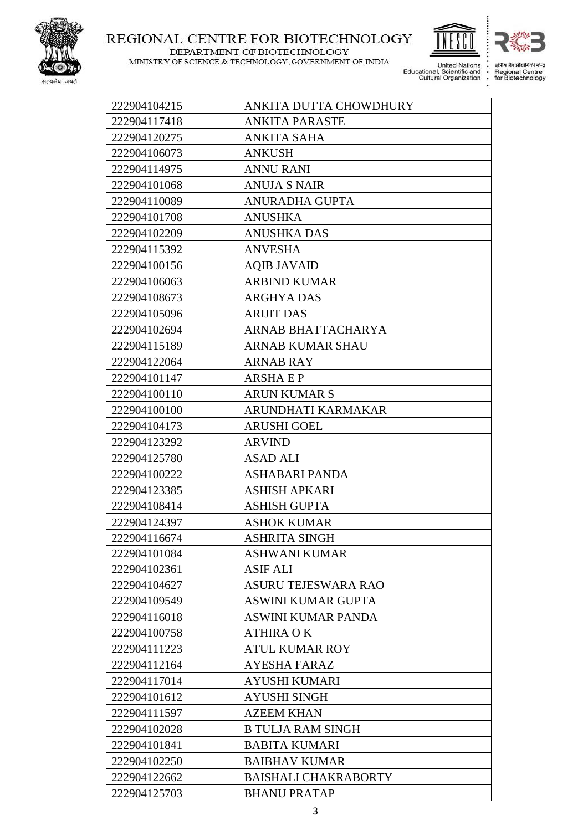

MINISTRY OF SCIENCE & TECHNOLOGY, GOVERNMENT OF INDIA

DEPARTMENT OF BIOTECHNOLOGY



 $\vdots$ 

क्षेत्रीय जैव प्रौद्योगि ी केन्द

United Nations<br>Educational, Scientific and<br>Cultural Organization  $\vdots$ 

Regional Centre<br>Fegional Centre<br>for Biotechnology

| 222904104215 | ANKITA DUTTA CHOWDHURY      |
|--------------|-----------------------------|
| 222904117418 | <b>ANKITA PARASTE</b>       |
| 222904120275 | <b>ANKITA SAHA</b>          |
| 222904106073 | <b>ANKUSH</b>               |
| 222904114975 | <b>ANNU RANI</b>            |
| 222904101068 | <b>ANUJA S NAIR</b>         |
| 222904110089 | <b>ANURADHA GUPTA</b>       |
| 222904101708 | <b>ANUSHKA</b>              |
| 222904102209 | <b>ANUSHKA DAS</b>          |
| 222904115392 | <b>ANVESHA</b>              |
| 222904100156 | <b>AQIB JAVAID</b>          |
| 222904106063 | <b>ARBIND KUMAR</b>         |
| 222904108673 | <b>ARGHYA DAS</b>           |
| 222904105096 | <b>ARIJIT DAS</b>           |
| 222904102694 | ARNAB BHATTACHARYA          |
| 222904115189 | <b>ARNAB KUMAR SHAU</b>     |
| 222904122064 | <b>ARNAB RAY</b>            |
| 222904101147 | <b>ARSHAEP</b>              |
| 222904100110 | <b>ARUN KUMAR S</b>         |
| 222904100100 | ARUNDHATI KARMAKAR          |
| 222904104173 | <b>ARUSHI GOEL</b>          |
| 222904123292 | <b>ARVIND</b>               |
| 222904125780 | <b>ASAD ALI</b>             |
| 222904100222 | ASHABARI PANDA              |
| 222904123385 | <b>ASHISH APKARI</b>        |
| 222904108414 | <b>ASHISH GUPTA</b>         |
| 222904124397 | <b>ASHOK KUMAR</b>          |
| 222904116674 | <b>ASHRITA SINGH</b>        |
| 222904101084 | <b>ASHWANI KUMAR</b>        |
| 222904102361 | <b>ASIF ALI</b>             |
| 222904104627 | <b>ASURU TEJESWARA RAO</b>  |
| 222904109549 | <b>ASWINI KUMAR GUPTA</b>   |
| 222904116018 | <b>ASWINI KUMAR PANDA</b>   |
| 222904100758 | <b>ATHIRA OK</b>            |
| 222904111223 | <b>ATUL KUMAR ROY</b>       |
| 222904112164 | <b>AYESHA FARAZ</b>         |
| 222904117014 | <b>AYUSHI KUMARI</b>        |
| 222904101612 | <b>AYUSHI SINGH</b>         |
| 222904111597 | <b>AZEEM KHAN</b>           |
| 222904102028 | <b>B TULJA RAM SINGH</b>    |
| 222904101841 | <b>BABITA KUMARI</b>        |
| 222904102250 | <b>BAIBHAV KUMAR</b>        |
| 222904122662 | <b>BAISHALI CHAKRABORTY</b> |
| 222904125703 | <b>BHANU PRATAP</b>         |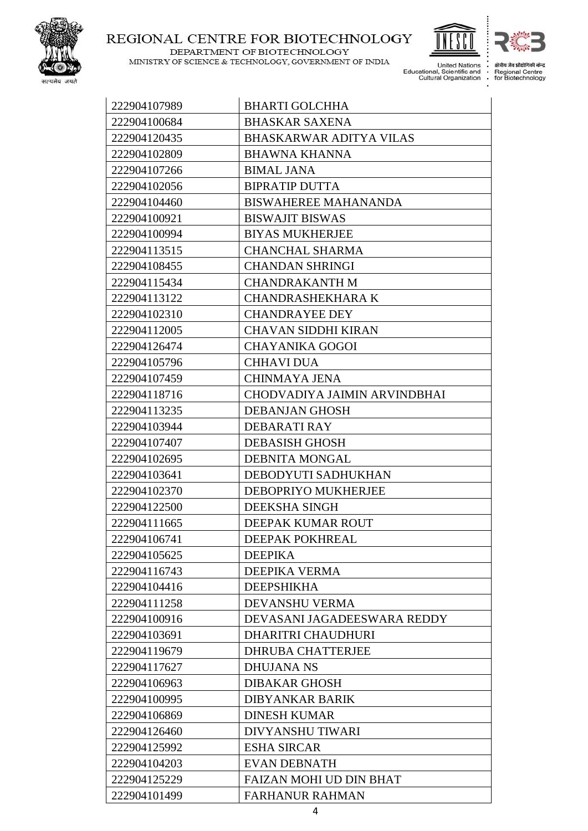

DEPARTMENT OF BIOTECHNOLOGY

MINISTRY OF SCIENCE & TECHNOLOGY, GOVERNMENT OF INDIA United Nations<br>Educational, Scientific and<br>Cultural Organization J.  $\vdots$ 



 $\vdots$ 

क्षेत्रीय जैव प्रौद्योगि ी केन्द Regional Centre<br>for Biotechnology

| 222904107989 | <b>BHARTI GOLCHHA</b>          |
|--------------|--------------------------------|
| 222904100684 | <b>BHASKAR SAXENA</b>          |
| 222904120435 | <b>BHASKARWAR ADITYA VILAS</b> |
| 222904102809 | <b>BHAWNA KHANNA</b>           |
| 222904107266 | <b>BIMAL JANA</b>              |
| 222904102056 | <b>BIPRATIP DUTTA</b>          |
| 222904104460 | BISWAHEREE MAHANANDA           |
| 222904100921 | <b>BISWAJIT BISWAS</b>         |
| 222904100994 | <b>BIYAS MUKHERJEE</b>         |
| 222904113515 | <b>CHANCHAL SHARMA</b>         |
| 222904108455 | <b>CHANDAN SHRINGI</b>         |
| 222904115434 | <b>CHANDRAKANTH M</b>          |
| 222904113122 | <b>CHANDRASHEKHARA K</b>       |
| 222904102310 | <b>CHANDRAYEE DEY</b>          |
| 222904112005 | <b>CHAVAN SIDDHI KIRAN</b>     |
| 222904126474 | <b>CHAYANIKA GOGOI</b>         |
| 222904105796 | <b>CHHAVI DUA</b>              |
| 222904107459 | <b>CHINMAYA JENA</b>           |
| 222904118716 | CHODVADIYA JAIMIN ARVINDBHAI   |
| 222904113235 | <b>DEBANJAN GHOSH</b>          |
| 222904103944 | DEBARATI RAY                   |
| 222904107407 | <b>DEBASISH GHOSH</b>          |
| 222904102695 | <b>DEBNITA MONGAL</b>          |
| 222904103641 | DEBODYUTI SADHUKHAN            |
| 222904102370 | DEBOPRIYO MUKHERJEE            |
| 222904122500 | DEEKSHA SINGH                  |
| 222904111665 | DEEPAK KUMAR ROUT              |
| 222904106741 | DEEPAK POKHREAL                |
| 222904105625 | <b>DEEPIKA</b>                 |
| 222904116743 | <b>DEEPIKA VERMA</b>           |
| 222904104416 | <b>DEEPSHIKHA</b>              |
| 222904111258 | <b>DEVANSHU VERMA</b>          |
| 222904100916 | DEVASANI JAGADEESWARA REDDY    |
| 222904103691 | <b>DHARITRI CHAUDHURI</b>      |
| 222904119679 | <b>DHRUBA CHATTERJEE</b>       |
| 222904117627 | <b>DHUJANA NS</b>              |
| 222904106963 | <b>DIBAKAR GHOSH</b>           |
| 222904100995 | <b>DIBYANKAR BARIK</b>         |
| 222904106869 | <b>DINESH KUMAR</b>            |
| 222904126460 | <b>DIVYANSHU TIWARI</b>        |
| 222904125992 | <b>ESHA SIRCAR</b>             |
| 222904104203 | <b>EVAN DEBNATH</b>            |
| 222904125229 | <b>FAIZAN MOHI UD DIN BHAT</b> |
| 222904101499 | <b>FARHANUR RAHMAN</b>         |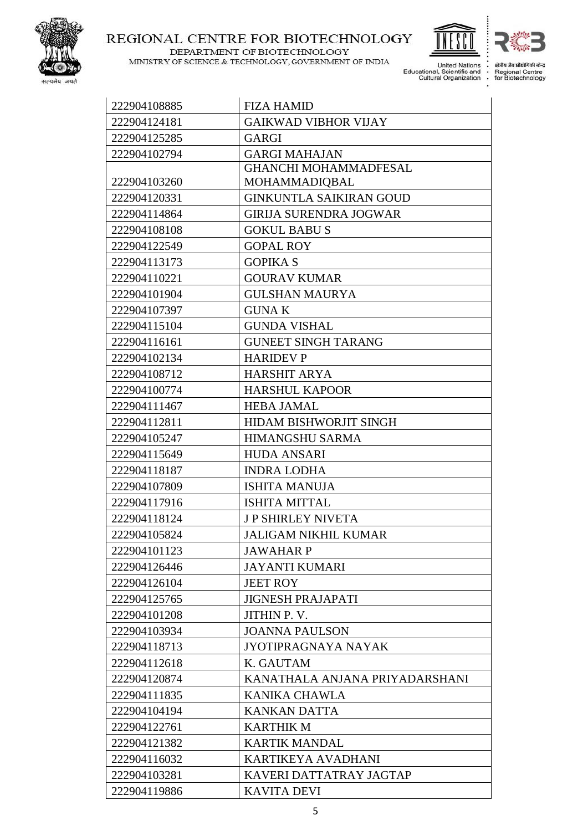

MINISTRY OF SCIENCE & TECHNOLOGY, GOVERNMENT OF INDIA

DEPARTMENT OF BIOTECHNOLOGY



 $\vdots$ 

क्षेत्रीय जैव प्रौद्योगि की केन्द्र Regional Centre<br>Fegional Centre<br>for Biotechnology

|              | ulluldi Orudilizdiloli         |
|--------------|--------------------------------|
| 222904108885 | <b>FIZA HAMID</b>              |
| 222904124181 | <b>GAIKWAD VIBHOR VIJAY</b>    |
| 222904125285 | GARGI                          |
| 222904102794 | <b>GARGI MAHAJAN</b>           |
|              | <b>GHANCHI MOHAMMADFESAL</b>   |
| 222904103260 | MOHAMMADIQBAL                  |
| 222904120331 | <b>GINKUNTLA SAIKIRAN GOUD</b> |
| 222904114864 | <b>GIRIJA SURENDRA JOGWAR</b>  |
| 222904108108 | <b>GOKUL BABUS</b>             |
| 222904122549 | <b>GOPAL ROY</b>               |
| 222904113173 | <b>GOPIKA S</b>                |
| 222904110221 | <b>GOURAV KUMAR</b>            |
| 222904101904 | <b>GULSHAN MAURYA</b>          |
| 222904107397 | <b>GUNAK</b>                   |
| 222904115104 | <b>GUNDA VISHAL</b>            |
| 222904116161 | <b>GUNEET SINGH TARANG</b>     |
| 222904102134 | <b>HARIDEV P</b>               |
| 222904108712 | <b>HARSHIT ARYA</b>            |
| 222904100774 | <b>HARSHUL KAPOOR</b>          |
| 222904111467 | <b>HEBA JAMAL</b>              |
| 222904112811 | <b>HIDAM BISHWORJIT SINGH</b>  |
| 222904105247 | <b>HIMANGSHU SARMA</b>         |
| 222904115649 | <b>HUDA ANSARI</b>             |
| 222904118187 | <b>INDRA LODHA</b>             |
| 222904107809 | <b>ISHITA MANUJA</b>           |
| 222904117916 | <b>ISHITA MITTAL</b>           |
| 222904118124 | J P SHIRLEY NIVETA             |
| 222904105824 | <b>JALIGAM NIKHIL KUMAR</b>    |
| 222904101123 | <b>JAWAHARP</b>                |
| 222904126446 | <b>JAYANTI KUMARI</b>          |
| 222904126104 | <b>JEET ROY</b>                |
| 222904125765 | <b>JIGNESH PRAJAPATI</b>       |
| 222904101208 | JITHIN P.V.                    |
| 222904103934 | <b>JOANNA PAULSON</b>          |
| 222904118713 | JYOTIPRAGNAYA NAYAK            |
| 222904112618 | K. GAUTAM                      |
| 222904120874 | KANATHALA ANJANA PRIYADARSHANI |
| 222904111835 | KANIKA CHAWLA                  |
| 222904104194 | <b>KANKAN DATTA</b>            |
| 222904122761 | <b>KARTHIK M</b>               |
| 222904121382 | <b>KARTIK MANDAL</b>           |
| 222904116032 | KARTIKEYA AVADHANI             |
| 222904103281 | KAVERI DATTATRAY JAGTAP        |
| 222904119886 | <b>KAVITA DEVI</b>             |
|              | 5.                             |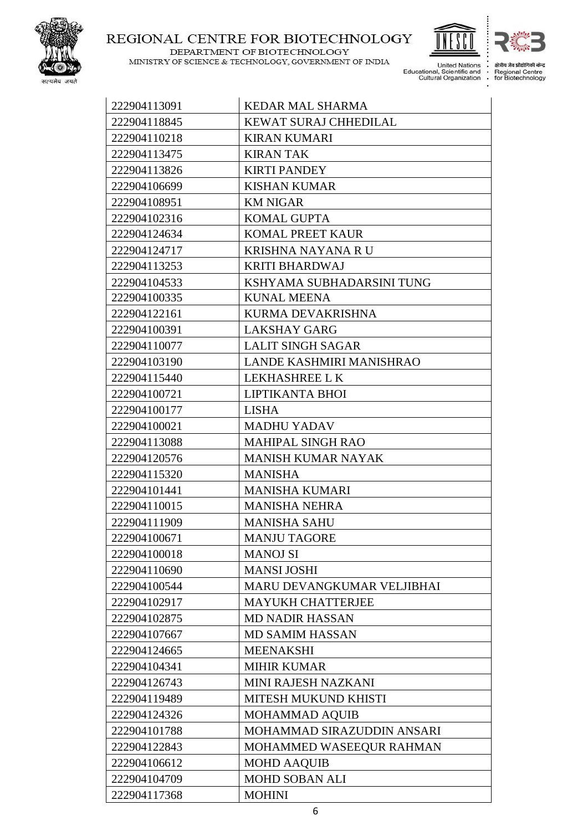

DEPARTMENT OF BIOTECHNOLOGY MINISTRY OF SCIENCE & TECHNOLOGY, GOVERNMENT OF INDIA United Nations<br>Educational, Scientific and<br>Cultural Organization J.

 $\vdots$ 

क्षेत्रीय जैव प्रौद्योगि ी केन्द

Regional Centre<br>Fegional Centre<br>for Biotechnology  $\vdots$ 

| 222904113091 | <b>KEDAR MAL SHARMA</b>    |
|--------------|----------------------------|
| 222904118845 | KEWAT SURAJ CHHEDILAL      |
| 222904110218 | <b>KIRAN KUMARI</b>        |
| 222904113475 | <b>KIRAN TAK</b>           |
| 222904113826 | <b>KIRTI PANDEY</b>        |
| 222904106699 | <b>KISHAN KUMAR</b>        |
| 222904108951 | <b>KM NIGAR</b>            |
| 222904102316 | <b>KOMAL GUPTA</b>         |
| 222904124634 | <b>KOMAL PREET KAUR</b>    |
| 222904124717 | <b>KRISHNA NAYANA RU</b>   |
| 222904113253 | <b>KRITI BHARDWAJ</b>      |
| 222904104533 | KSHYAMA SUBHADARSINI TUNG  |
| 222904100335 | <b>KUNAL MEENA</b>         |
| 222904122161 | KURMA DEVAKRISHNA          |
| 222904100391 | <b>LAKSHAY GARG</b>        |
| 222904110077 | <b>LALIT SINGH SAGAR</b>   |
| 222904103190 | LANDE KASHMIRI MANISHRAO   |
| 222904115440 | LEKHASHREE LK              |
| 222904100721 | LIPTIKANTA BHOI            |
| 222904100177 | <b>LISHA</b>               |
| 222904100021 | <b>MADHU YADAV</b>         |
| 222904113088 | <b>MAHIPAL SINGH RAO</b>   |
| 222904120576 | <b>MANISH KUMAR NAYAK</b>  |
| 222904115320 | <b>MANISHA</b>             |
| 222904101441 | <b>MANISHA KUMARI</b>      |
| 222904110015 | <b>MANISHA NEHRA</b>       |
| 222904111909 | <b>MANISHA SAHU</b>        |
| 222904100671 | <b>MANJU TAGORE</b>        |
| 222904100018 | <b>MANOJ SI</b>            |
| 222904110690 | <b>MANSI JOSHI</b>         |
| 222904100544 | MARU DEVANGKUMAR VELJIBHAI |
| 222904102917 | <b>MAYUKH CHATTERJEE</b>   |
| 222904102875 | <b>MD NADIR HASSAN</b>     |
| 222904107667 | <b>MD SAMIM HASSAN</b>     |
| 222904124665 | <b>MEENAKSHI</b>           |
| 222904104341 | <b>MIHIR KUMAR</b>         |
| 222904126743 | MINI RAJESH NAZKANI        |
| 222904119489 | MITESH MUKUND KHISTI       |
| 222904124326 | <b>MOHAMMAD AQUIB</b>      |
| 222904101788 | MOHAMMAD SIRAZUDDIN ANSARI |
| 222904122843 | MOHAMMED WASEEQUR RAHMAN   |
| 222904106612 | <b>MOHD AAQUIB</b>         |
| 222904104709 | <b>MOHD SOBAN ALI</b>      |
| 222904117368 | <b>MOHINI</b>              |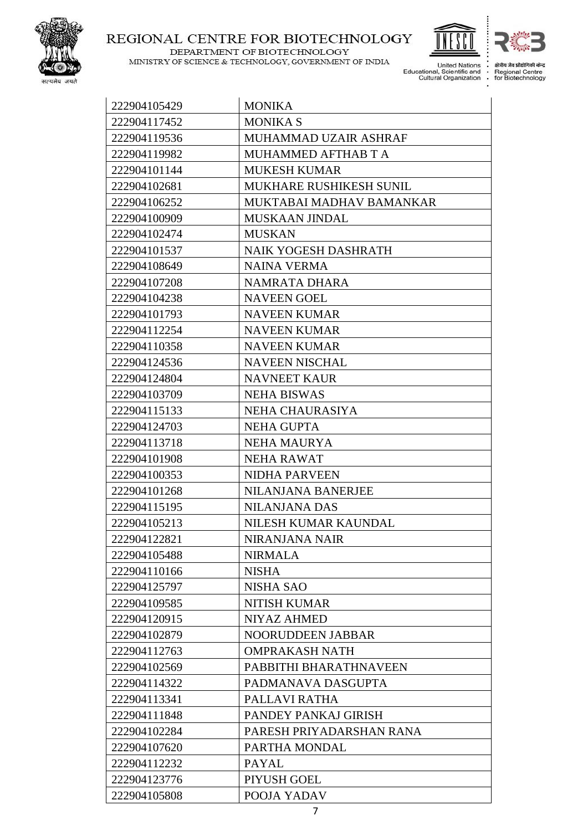

MINISTRY OF SCIENCE & TECHNOLOGY, GOVERNMENT OF INDIA

DEPARTMENT OF BIOTECHNOLOGY

United Nations<br>Educational, Scientific and<br>Cultural Organization  $\ddot{\cdot}$ 

 $\vdots$ 

क्षेत्रीय जैव प्रौद्योगिकी केन्द्र

Regional Centre<br>for Biotechnology

| 222904105429 | <b>MONIKA</b>               |
|--------------|-----------------------------|
| 222904117452 | <b>MONIKA S</b>             |
| 222904119536 | MUHAMMAD UZAIR ASHRAF       |
| 222904119982 | MUHAMMED AFTHAB T A         |
| 222904101144 | <b>MUKESH KUMAR</b>         |
| 222904102681 | MUKHARE RUSHIKESH SUNIL     |
| 222904106252 | MUKTABAI MADHAV BAMANKAR    |
| 222904100909 | <b>MUSKAAN JINDAL</b>       |
| 222904102474 | <b>MUSKAN</b>               |
| 222904101537 | <b>NAIK YOGESH DASHRATH</b> |
| 222904108649 | <b>NAINA VERMA</b>          |
| 222904107208 | NAMRATA DHARA               |
| 222904104238 | <b>NAVEEN GOEL</b>          |
| 222904101793 | <b>NAVEEN KUMAR</b>         |
| 222904112254 | <b>NAVEEN KUMAR</b>         |
| 222904110358 | <b>NAVEEN KUMAR</b>         |
| 222904124536 | <b>NAVEEN NISCHAL</b>       |
| 222904124804 | <b>NAVNEET KAUR</b>         |
| 222904103709 | <b>NEHA BISWAS</b>          |
| 222904115133 | NEHA CHAURASIYA             |
| 222904124703 | <b>NEHA GUPTA</b>           |
| 222904113718 | <b>NEHA MAURYA</b>          |
| 222904101908 | <b>NEHA RAWAT</b>           |
| 222904100353 | <b>NIDHA PARVEEN</b>        |
| 222904101268 | <b>NILANJANA BANERJEE</b>   |
| 222904115195 | <b>NILANJANA DAS</b>        |
| 222904105213 | NILESH KUMAR KAUNDAL        |
| 222904122821 | NIRANJANA NAIR              |
| 222904105488 | <b>NIRMALA</b>              |
| 222904110166 | <b>NISHA</b>                |
| 222904125797 | <b>NISHA SAO</b>            |
| 222904109585 | <b>NITISH KUMAR</b>         |
| 222904120915 | <b>NIYAZ AHMED</b>          |
| 222904102879 | NOORUDDEEN JABBAR           |
| 222904112763 | <b>OMPRAKASH NATH</b>       |
| 222904102569 | PABBITHI BHARATHNAVEEN      |
| 222904114322 | PADMANAVA DASGUPTA          |
| 222904113341 | PALLAVI RATHA               |
| 222904111848 | PANDEY PANKAJ GIRISH        |
| 222904102284 | PARESH PRIYADARSHAN RANA    |
| 222904107620 | PARTHA MONDAL               |
| 222904112232 | <b>PAYAL</b>                |
| 222904123776 | PIYUSH GOEL                 |
| 222904105808 | POOJA YADAV                 |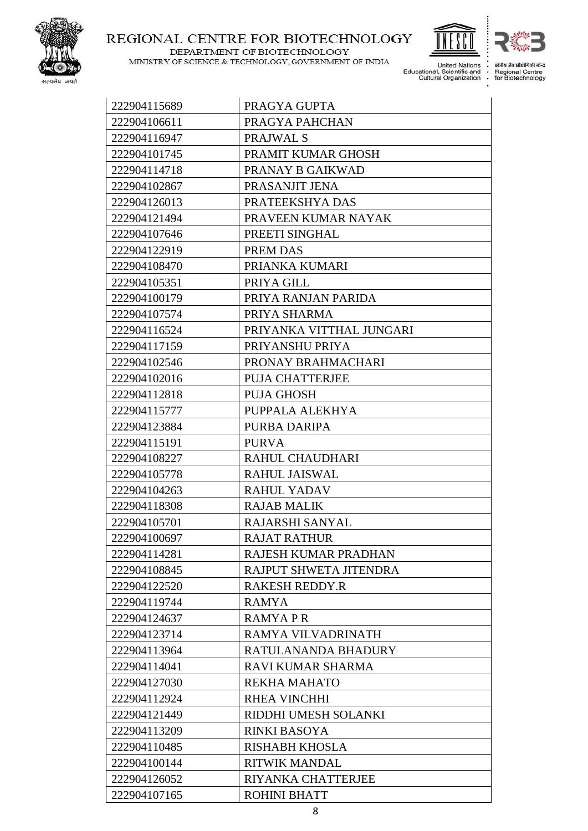

DEPARTMENT OF BIOTECHNOLOGY

h I MINISTRY OF SCIENCE & TECHNOLOGY, GOVERNMENT OF INDIA United Nations<br>Educational, Scientific and<br>Cultural Organization



ी केन्द

क्षेत्रीय जैव प्रौद्यो Regional Centre<br>for Biotechnology  $\vdots$ 

| 222904115689 | PRAGYA GUPTA             |
|--------------|--------------------------|
| 222904106611 | PRAGYA PAHCHAN           |
| 222904116947 | PRAJWAL S                |
| 222904101745 | PRAMIT KUMAR GHOSH       |
| 222904114718 | PRANAY B GAIKWAD         |
| 222904102867 | PRASANJIT JENA           |
| 222904126013 | PRATEEKSHYA DAS          |
| 222904121494 | PRAVEEN KUMAR NAYAK      |
| 222904107646 | PREETI SINGHAL           |
| 222904122919 | PREM DAS                 |
| 222904108470 | PRIANKA KUMARI           |
| 222904105351 | PRIYA GILL               |
| 222904100179 | PRIYA RANJAN PARIDA      |
| 222904107574 | PRIYA SHARMA             |
| 222904116524 | PRIYANKA VITTHAL JUNGARI |
| 222904117159 | PRIYANSHU PRIYA          |
| 222904102546 | PRONAY BRAHMACHARI       |
| 222904102016 | <b>PUJA CHATTERJEE</b>   |
| 222904112818 | <b>PUJA GHOSH</b>        |
| 222904115777 | PUPPALA ALEKHYA          |
| 222904123884 | PURBA DARIPA             |
| 222904115191 | <b>PURVA</b>             |
| 222904108227 | RAHUL CHAUDHARI          |
| 222904105778 | <b>RAHUL JAISWAL</b>     |
| 222904104263 | <b>RAHUL YADAV</b>       |
| 222904118308 | <b>RAJAB MALIK</b>       |
| 222904105701 | RAJARSHI SANYAL          |
| 222904100697 | <b>RAJAT RATHUR</b>      |
| 222904114281 | RAJESH KUMAR PRADHAN     |
| 222904108845 | RAJPUT SHWETA JITENDRA   |
| 222904122520 | <b>RAKESH REDDY.R</b>    |
| 222904119744 | <b>RAMYA</b>             |
| 222904124637 | RAMYAPR                  |
| 222904123714 | RAMYA VILVADRINATH       |
| 222904113964 | RATULANANDA BHADURY      |
| 222904114041 | <b>RAVI KUMAR SHARMA</b> |
| 222904127030 | <b>REKHA MAHATO</b>      |
| 222904112924 | <b>RHEA VINCHHI</b>      |
| 222904121449 | RIDDHI UMESH SOLANKI     |
| 222904113209 | <b>RINKI BASOYA</b>      |
| 222904110485 | <b>RISHABH KHOSLA</b>    |
| 222904100144 | <b>RITWIK MANDAL</b>     |
| 222904126052 | RIYANKA CHATTERJEE       |
| 222904107165 | <b>ROHINI BHATT</b>      |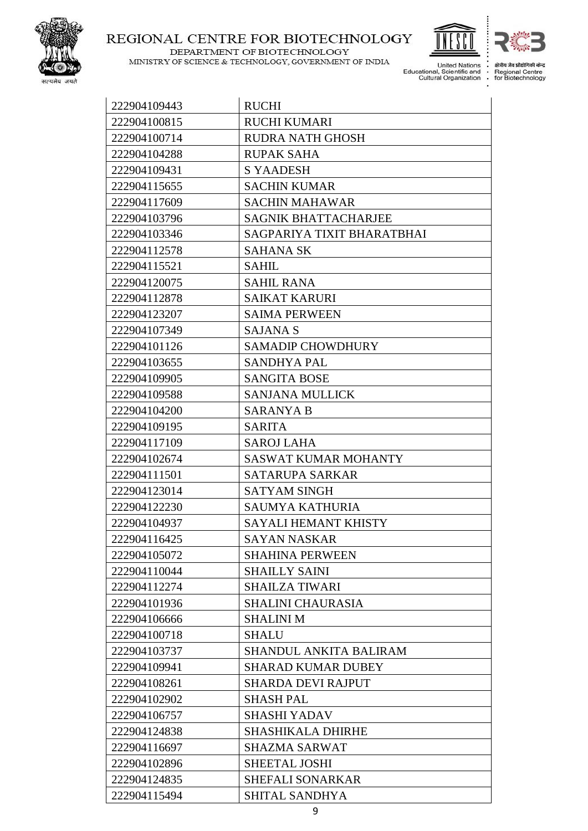

DEPARTMENT OF BIOTECHNOLOGY MINISTRY OF SCIENCE & TECHNOLOGY, GOVERNMENT OF INDIA

h United Nations<br>
Educational, Scientific and<br>
Cultural Organization

 $\vdots$ 

क्षेत्रीय जैव प्रौद्योगिकी केन्द्र Regional Centre<br>for Biotechnology

| 222904109443 | <b>RUCHI</b>                  |
|--------------|-------------------------------|
| 222904100815 | <b>RUCHI KUMARI</b>           |
| 222904100714 | <b>RUDRA NATH GHOSH</b>       |
| 222904104288 | <b>RUPAK SAHA</b>             |
| 222904109431 | <b>S YAADESH</b>              |
| 222904115655 | <b>SACHIN KUMAR</b>           |
| 222904117609 | <b>SACHIN MAHAWAR</b>         |
| 222904103796 | <b>SAGNIK BHATTACHARJEE</b>   |
| 222904103346 | SAGPARIYA TIXIT BHARATBHAI    |
| 222904112578 | <b>SAHANA SK</b>              |
| 222904115521 | <b>SAHIL</b>                  |
| 222904120075 | <b>SAHIL RANA</b>             |
| 222904112878 | <b>SAIKAT KARURI</b>          |
| 222904123207 | <b>SAIMA PERWEEN</b>          |
| 222904107349 | <b>SAJANA S</b>               |
| 222904101126 | <b>SAMADIP CHOWDHURY</b>      |
| 222904103655 | <b>SANDHYA PAL</b>            |
| 222904109905 | <b>SANGITA BOSE</b>           |
| 222904109588 | <b>SANJANA MULLICK</b>        |
| 222904104200 | <b>SARANYA B</b>              |
| 222904109195 | <b>SARITA</b>                 |
| 222904117109 | <b>SAROJ LAHA</b>             |
| 222904102674 | <b>SASWAT KUMAR MOHANTY</b>   |
| 222904111501 | <b>SATARUPA SARKAR</b>        |
| 222904123014 | <b>SATYAM SINGH</b>           |
| 222904122230 | <b>SAUMYA KATHURIA</b>        |
| 222904104937 | SAYALI HEMANT KHISTY          |
| 222904116425 | SAYAN NASKAR                  |
| 222904105072 | <b>SHAHINA PERWEEN</b>        |
| 222904110044 | <b>SHAILLY SAINI</b>          |
| 222904112274 | <b>SHAILZA TIWARI</b>         |
| 222904101936 | SHALINI CHAURASIA             |
| 222904106666 | <b>SHALINI M</b>              |
| 222904100718 | <b>SHALU</b>                  |
| 222904103737 | <b>SHANDUL ANKITA BALIRAM</b> |
| 222904109941 | <b>SHARAD KUMAR DUBEY</b>     |
| 222904108261 | <b>SHARDA DEVI RAJPUT</b>     |
| 222904102902 | <b>SHASH PAL</b>              |
| 222904106757 | <b>SHASHI YADAV</b>           |
| 222904124838 | <b>SHASHIKALA DHIRHE</b>      |
| 222904116697 | <b>SHAZMA SARWAT</b>          |
| 222904102896 | <b>SHEETAL JOSHI</b>          |
| 222904124835 | <b>SHEFALI SONARKAR</b>       |
| 222904115494 | SHITAL SANDHYA                |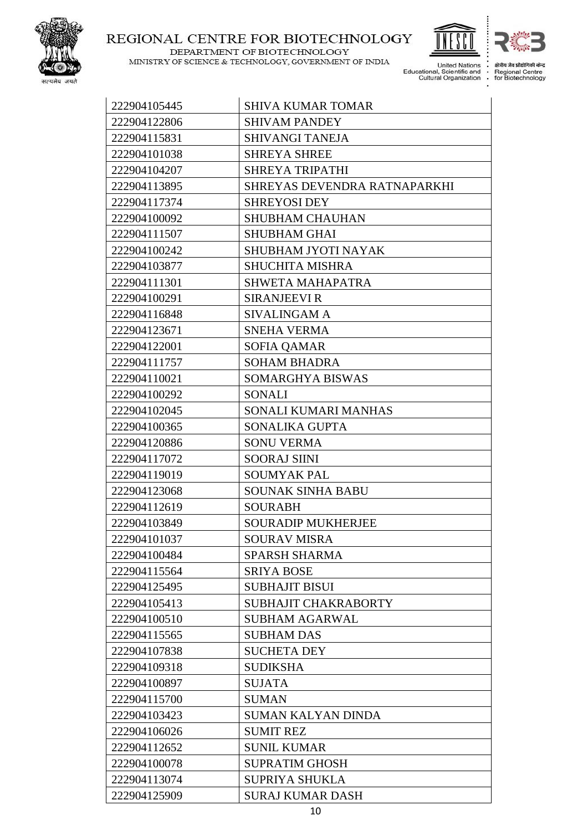

DEPARTMENT OF BIOTECHNOLOGY

MINISTRY OF SCIENCE & TECHNOLOGY, GOVERNMENT OF INDIA



United Nations<br>Educational, Scientific and<br>Cultural Organization J.  $\vdots$ 

क्षेत्रीय जैव प्रौद्यो ी केन्द Regional Centre<br>Fegional Centre<br>for Biotechnology

| 222904105445 | <b>SHIVA KUMAR TOMAR</b>     |
|--------------|------------------------------|
| 222904122806 | <b>SHIVAM PANDEY</b>         |
| 222904115831 | <b>SHIVANGI TANEJA</b>       |
| 222904101038 | <b>SHREYA SHREE</b>          |
| 222904104207 | <b>SHREYA TRIPATHI</b>       |
| 222904113895 | SHREYAS DEVENDRA RATNAPARKHI |
| 222904117374 | <b>SHREYOSI DEY</b>          |
| 222904100092 | <b>SHUBHAM CHAUHAN</b>       |
| 222904111507 | <b>SHUBHAM GHAI</b>          |
| 222904100242 | SHUBHAM JYOTI NAYAK          |
| 222904103877 | <b>SHUCHITA MISHRA</b>       |
| 222904111301 | <b>SHWETA MAHAPATRA</b>      |
| 222904100291 | <b>SIRANJEEVI R</b>          |
| 222904116848 | <b>SIVALINGAM A</b>          |
| 222904123671 | <b>SNEHA VERMA</b>           |
| 222904122001 | SOFIA QAMAR                  |
| 222904111757 | <b>SOHAM BHADRA</b>          |
| 222904110021 | SOMARGHYA BISWAS             |
| 222904100292 | <b>SONALI</b>                |
| 222904102045 | SONALI KUMARI MANHAS         |
| 222904100365 | SONALIKA GUPTA               |
| 222904120886 | <b>SONU VERMA</b>            |
| 222904117072 | <b>SOORAJ SIINI</b>          |
| 222904119019 | <b>SOUMYAK PAL</b>           |
| 222904123068 | <b>SOUNAK SINHA BABU</b>     |
| 222904112619 | <b>SOURABH</b>               |
| 222904103849 | <b>SOURADIP MUKHERJEE</b>    |
| 222904101037 | SOURAV MISRA                 |
| 222904100484 | <b>SPARSH SHARMA</b>         |
| 222904115564 | <b>SRIYA BOSE</b>            |
| 222904125495 | <b>SUBHAJIT BISUI</b>        |
| 222904105413 | <b>SUBHAJIT CHAKRABORTY</b>  |
| 222904100510 | <b>SUBHAM AGARWAL</b>        |
| 222904115565 | <b>SUBHAM DAS</b>            |
| 222904107838 | <b>SUCHETA DEY</b>           |
| 222904109318 | <b>SUDIKSHA</b>              |
| 222904100897 | <b>SUJATA</b>                |
| 222904115700 | <b>SUMAN</b>                 |
| 222904103423 | <b>SUMAN KALYAN DINDA</b>    |
| 222904106026 | <b>SUMIT REZ</b>             |
| 222904112652 | <b>SUNIL KUMAR</b>           |
| 222904100078 | <b>SUPRATIM GHOSH</b>        |
| 222904113074 | <b>SUPRIYA SHUKLA</b>        |
| 222904125909 | <b>SURAJ KUMAR DASH</b>      |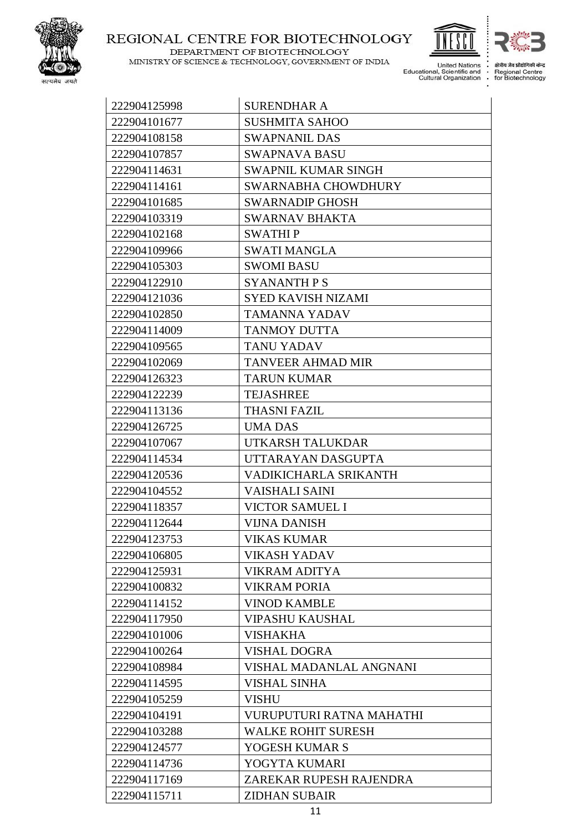

DEPARTMENT OF BIOTECHNOLOGY MINISTRY OF SCIENCE & TECHNOLOGY, GOVERNMENT OF INDIA United Nations<br>Educational, Scientific and<br>Cultural Organization J.  $\vdots$ 

 $\vdots$ 

क्षेत्रीय जैव प्रौद्यो ी केन्द Regional Centre<br>Fegional Centre<br>for Biotechnology

| 222904125998 | <b>SURENDHAR A</b>         |
|--------------|----------------------------|
| 222904101677 | <b>SUSHMITA SAHOO</b>      |
| 222904108158 | <b>SWAPNANIL DAS</b>       |
| 222904107857 | SWAPNAVA BASU              |
| 222904114631 | <b>SWAPNIL KUMAR SINGH</b> |
| 222904114161 | SWARNABHA CHOWDHURY        |
| 222904101685 | <b>SWARNADIP GHOSH</b>     |
| 222904103319 | <b>SWARNAV BHAKTA</b>      |
| 222904102168 | <b>SWATHIP</b>             |
| 222904109966 | <b>SWATI MANGLA</b>        |
| 222904105303 | <b>SWOMI BASU</b>          |
| 222904122910 | SYANANTH P S               |
| 222904121036 | <b>SYED KAVISH NIZAMI</b>  |
| 222904102850 | <b>TAMANNA YADAV</b>       |
| 222904114009 | <b>TANMOY DUTTA</b>        |
| 222904109565 | <b>TANU YADAV</b>          |
| 222904102069 | <b>TANVEER AHMAD MIR</b>   |
| 222904126323 | <b>TARUN KUMAR</b>         |
| 222904122239 | <b>TEJASHREE</b>           |
| 222904113136 | <b>THASNI FAZIL</b>        |
| 222904126725 | <b>UMA DAS</b>             |
| 222904107067 | UTKARSH TALUKDAR           |
| 222904114534 | UTTARAYAN DASGUPTA         |
| 222904120536 | VADIKICHARLA SRIKANTH      |
| 222904104552 | <b>VAISHALI SAINI</b>      |
| 222904118357 | <b>VICTOR SAMUEL I</b>     |
| 222904112644 | <b>VIJNA DANISH</b>        |
| 222904123753 | <b>VIKAS KUMAR</b>         |
| 222904106805 | VIKASH YADAV               |
| 222904125931 | <b>VIKRAM ADITYA</b>       |
| 222904100832 | <b>VIKRAM PORIA</b>        |
| 222904114152 | <b>VINOD KAMBLE</b>        |
| 222904117950 | <b>VIPASHU KAUSHAL</b>     |
| 222904101006 | <b>VISHAKHA</b>            |
| 222904100264 | <b>VISHAL DOGRA</b>        |
| 222904108984 | VISHAL MADANLAL ANGNANI    |
| 222904114595 | <b>VISHAL SINHA</b>        |
| 222904105259 | <b>VISHU</b>               |
| 222904104191 | VURUPUTURI RATNA MAHATHI   |
| 222904103288 | <b>WALKE ROHIT SURESH</b>  |
| 222904124577 | YOGESH KUMAR S             |
| 222904114736 | YOGYTA KUMARI              |
| 222904117169 | ZAREKAR RUPESH RAJENDRA    |
| 222904115711 | <b>ZIDHAN SUBAIR</b>       |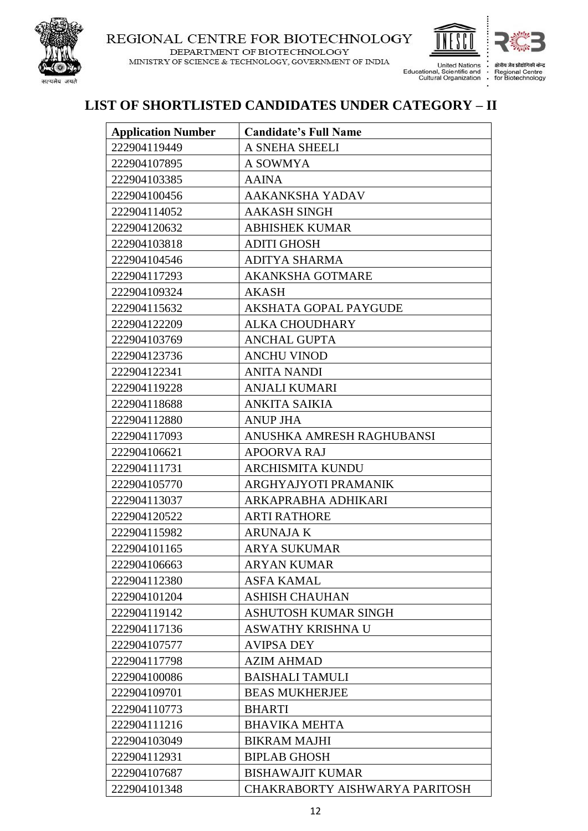

DEPARTMENT OF BIOTECHNOLOGY MINISTRY OF SCIENCE & TECHNOLOGY, GOVERNMENT OF INDIA



Regional Centre<br>for Biotechnology

### **LIST OF SHORTLISTED CANDIDATES UNDER CATEGORY – II**

| <b>Application Number</b> | <b>Candidate's Full Name</b>   |
|---------------------------|--------------------------------|
| 222904119449              | A SNEHA SHEELI                 |
| 222904107895              | A SOWMYA                       |
| 222904103385              | <b>AAINA</b>                   |
| 222904100456              | AAKANKSHA YADAV                |
| 222904114052              | <b>AAKASH SINGH</b>            |
| 222904120632              | <b>ABHISHEK KUMAR</b>          |
| 222904103818              | <b>ADITI GHOSH</b>             |
| 222904104546              | <b>ADITYA SHARMA</b>           |
| 222904117293              | <b>AKANKSHA GOTMARE</b>        |
| 222904109324              | <b>AKASH</b>                   |
| 222904115632              | AKSHATA GOPAL PAYGUDE          |
| 222904122209              | <b>ALKA CHOUDHARY</b>          |
| 222904103769              | <b>ANCHAL GUPTA</b>            |
| 222904123736              | <b>ANCHU VINOD</b>             |
| 222904122341              | <b>ANITA NANDI</b>             |
| 222904119228              | <b>ANJALI KUMARI</b>           |
| 222904118688              | <b>ANKITA SAIKIA</b>           |
| 222904112880              | <b>ANUP JHA</b>                |
| 222904117093              | ANUSHKA AMRESH RAGHUBANSI      |
| 222904106621              | <b>APOORVA RAJ</b>             |
| 222904111731              | ARCHISMITA KUNDU               |
| 222904105770              | ARGHYAJYOTI PRAMANIK           |
| 222904113037              | ARKAPRABHA ADHIKARI            |
| 222904120522              | <b>ARTI RATHORE</b>            |
| 222904115982              | <b>ARUNAJA K</b>               |
| 222904101165              | <b>ARYA SUKUMAR</b>            |
| 222904106663              | <b>ARYAN KUMAR</b>             |
| 222904112380              | <b>ASFA KAMAL</b>              |
| 222904101204              | <b>ASHISH CHAUHAN</b>          |
| 222904119142              | <b>ASHUTOSH KUMAR SINGH</b>    |
| 222904117136              | <b>ASWATHY KRISHNA U</b>       |
| 222904107577              | <b>AVIPSA DEY</b>              |
| 222904117798              | <b>AZIM AHMAD</b>              |
| 222904100086              | <b>BAISHALI TAMULI</b>         |
| 222904109701              | <b>BEAS MUKHERJEE</b>          |
| 222904110773              | <b>BHARTI</b>                  |
| 222904111216              | <b>BHAVIKA MEHTA</b>           |
| 222904103049              | <b>BIKRAM MAJHI</b>            |
| 222904112931              | <b>BIPLAB GHOSH</b>            |
| 222904107687              | <b>BISHAWAJIT KUMAR</b>        |
| 222904101348              | CHAKRABORTY AISHWARYA PARITOSH |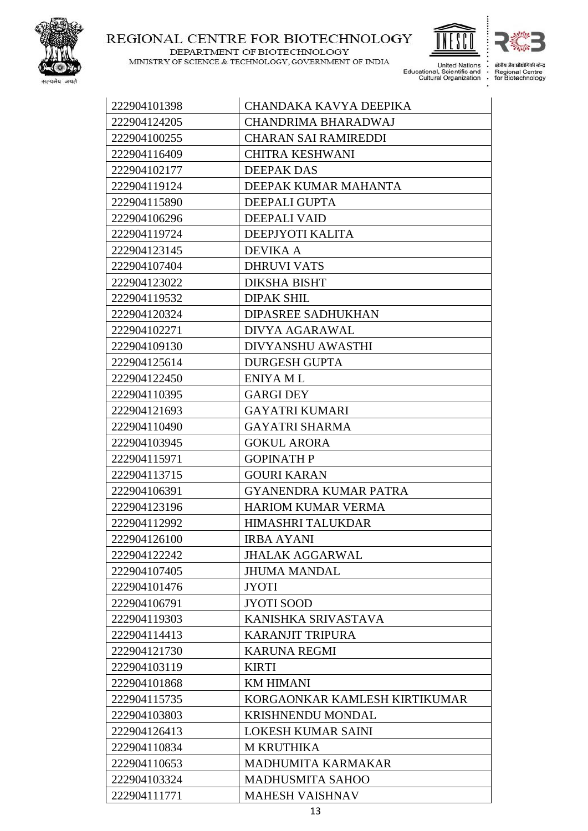

DEPARTMENT OF BIOTECHNOLOGY MINISTRY OF SCIENCE & TECHNOLOGY, GOVERNMENT OF INDIA United Nations<br>Educational, Scientific and<br>Cultural Organization  $\vdots$ 

क्षेत्रीय जैव प्रौद्यो । केन्द Regional Centre<br>for Biotechnology

| 222904101398 | CHANDAKA KAVYA DEEPIKA        |
|--------------|-------------------------------|
| 222904124205 | <b>CHANDRIMA BHARADWAJ</b>    |
| 222904100255 | <b>CHARAN SAI RAMIREDDI</b>   |
| 222904116409 | <b>CHITRA KESHWANI</b>        |
| 222904102177 | <b>DEEPAK DAS</b>             |
| 222904119124 | DEEPAK KUMAR MAHANTA          |
| 222904115890 | <b>DEEPALI GUPTA</b>          |
| 222904106296 | <b>DEEPALI VAID</b>           |
| 222904119724 | DEEPJYOTI KALITA              |
| 222904123145 | <b>DEVIKA A</b>               |
| 222904107404 | <b>DHRUVI VATS</b>            |
| 222904123022 | DIKSHA BISHT                  |
| 222904119532 | <b>DIPAK SHIL</b>             |
| 222904120324 | <b>DIPASREE SADHUKHAN</b>     |
| 222904102271 | DIVYA AGARAWAL                |
| 222904109130 | <b>DIVYANSHU AWASTHI</b>      |
| 222904125614 | <b>DURGESH GUPTA</b>          |
| 222904122450 | <b>ENIYA ML</b>               |
| 222904110395 | <b>GARGI DEY</b>              |
| 222904121693 | <b>GAYATRI KUMARI</b>         |
| 222904110490 | <b>GAYATRI SHARMA</b>         |
| 222904103945 | <b>GOKUL ARORA</b>            |
| 222904115971 | <b>GOPINATH P</b>             |
| 222904113715 | <b>GOURI KARAN</b>            |
| 222904106391 | <b>GYANENDRA KUMAR PATRA</b>  |
| 222904123196 | <b>HARIOM KUMAR VERMA</b>     |
| 222904112992 | HIMASHRI TALUKDAR             |
| 222904126100 | <b>IRBA AYANI</b>             |
| 222904122242 | <b>JHALAK AGGARWAL</b>        |
| 222904107405 | <b>JHUMA MANDAL</b>           |
| 222904101476 | <b>JYOTI</b>                  |
| 222904106791 | <b>JYOTI SOOD</b>             |
| 222904119303 | KANISHKA SRIVASTAVA           |
| 222904114413 | <b>KARANJIT TRIPURA</b>       |
| 222904121730 | <b>KARUNA REGMI</b>           |
| 222904103119 | <b>KIRTI</b>                  |
| 222904101868 | <b>KM HIMANI</b>              |
| 222904115735 | KORGAONKAR KAMLESH KIRTIKUMAR |
| 222904103803 | <b>KRISHNENDU MONDAL</b>      |
| 222904126413 | <b>LOKESH KUMAR SAINI</b>     |
| 222904110834 | <b>M KRUTHIKA</b>             |
| 222904110653 | <b>MADHUMITA KARMAKAR</b>     |
| 222904103324 | <b>MADHUSMITA SAHOO</b>       |
| 222904111771 | <b>MAHESH VAISHNAV</b>        |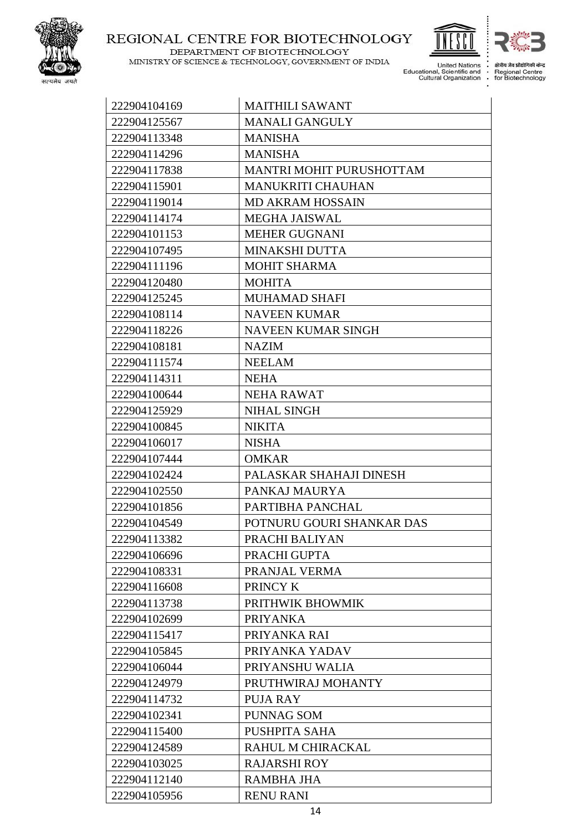

DEPARTMENT OF BIOTECHNOLOGY MINISTRY OF SCIENCE & TECHNOLOGY, GOVERNMENT OF INDIA United Nations<br>Educational, Scientific and<br>Cultural Organization 

 $\vdots$ 

क्षेत्रीय जैव प्रौद्योगिकी केन्द्र

Regional Centre<br>For Biotechnology

| 222904104169 | <b>MAITHILI SAWANT</b>    |
|--------------|---------------------------|
| 222904125567 | <b>MANALI GANGULY</b>     |
| 222904113348 | <b>MANISHA</b>            |
| 222904114296 | <b>MANISHA</b>            |
| 222904117838 | MANTRI MOHIT PURUSHOTTAM  |
| 222904115901 | <b>MANUKRITI CHAUHAN</b>  |
| 222904119014 | <b>MD AKRAM HOSSAIN</b>   |
| 222904114174 | <b>MEGHA JAISWAL</b>      |
| 222904101153 | <b>MEHER GUGNANI</b>      |
| 222904107495 | <b>MINAKSHI DUTTA</b>     |
| 222904111196 | <b>MOHIT SHARMA</b>       |
| 222904120480 | <b>MOHITA</b>             |
| 222904125245 | <b>MUHAMAD SHAFI</b>      |
| 222904108114 | <b>NAVEEN KUMAR</b>       |
| 222904118226 | <b>NAVEEN KUMAR SINGH</b> |
| 222904108181 | <b>NAZIM</b>              |
| 222904111574 | <b>NEELAM</b>             |
| 222904114311 | <b>NEHA</b>               |
| 222904100644 | <b>NEHA RAWAT</b>         |
| 222904125929 | <b>NIHAL SINGH</b>        |
| 222904100845 | <b>NIKITA</b>             |
| 222904106017 | <b>NISHA</b>              |
| 222904107444 | <b>OMKAR</b>              |
| 222904102424 | PALASKAR SHAHAJI DINESH   |
| 222904102550 | PANKAJ MAURYA             |
| 222904101856 | PARTIBHA PANCHAL          |
| 222904104549 | POTNURU GOURI SHANKAR DAS |
| 222904113382 | PRACHI BALIYAN            |
| 222904106696 | PRACHI GUPTA              |
| 222904108331 | PRANJAL VERMA             |
| 222904116608 | PRINCY K                  |
| 222904113738 | PRITHWIK BHOWMIK          |
| 222904102699 | <b>PRIYANKA</b>           |
| 222904115417 | PRIYANKA RAI              |
| 222904105845 | PRIYANKA YADAV            |
| 222904106044 | PRIYANSHU WALIA           |
| 222904124979 | PRUTHWIRAJ MOHANTY        |
| 222904114732 | PUJA RAY                  |
| 222904102341 | <b>PUNNAG SOM</b>         |
| 222904115400 | PUSHPITA SAHA             |
| 222904124589 | RAHUL M CHIRACKAL         |
| 222904103025 | <b>RAJARSHI ROY</b>       |
| 222904112140 | <b>RAMBHA JHA</b>         |
| 222904105956 | <b>RENU RANI</b>          |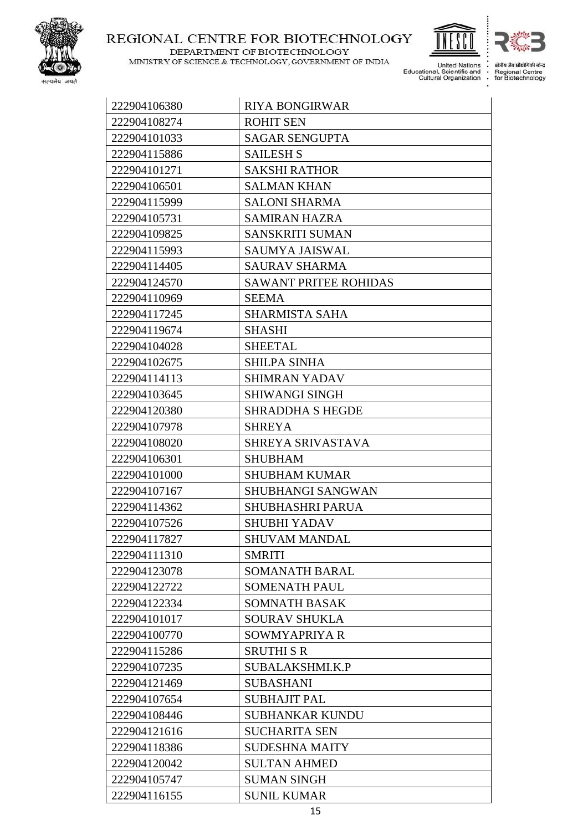

DEPARTMENT OF BIOTECHNOLOGY MINISTRY OF SCIENCE & TECHNOLOGY, GOVERNMENT OF INDIA United Nations<br>Educational, Scientific and<br>Cultural Organization J.  $\vdots$ 

 $\vdots$ 

क्षेत्रीय जैव प्रौद्यो ी केन्द Regional Centre<br>for Biotechnology

| 222904106380 | <b>RIYA BONGIRWAR</b>        |
|--------------|------------------------------|
| 222904108274 | <b>ROHIT SEN</b>             |
| 222904101033 | <b>SAGAR SENGUPTA</b>        |
| 222904115886 | <b>SAILESH S</b>             |
| 222904101271 | <b>SAKSHI RATHOR</b>         |
| 222904106501 | <b>SALMAN KHAN</b>           |
| 222904115999 | <b>SALONI SHARMA</b>         |
| 222904105731 | <b>SAMIRAN HAZRA</b>         |
| 222904109825 | <b>SANSKRITI SUMAN</b>       |
| 222904115993 | SAUMYA JAISWAL               |
| 222904114405 | <b>SAURAV SHARMA</b>         |
| 222904124570 | <b>SAWANT PRITEE ROHIDAS</b> |
| 222904110969 | <b>SEEMA</b>                 |
| 222904117245 | <b>SHARMISTA SAHA</b>        |
| 222904119674 | <b>SHASHI</b>                |
| 222904104028 | <b>SHEETAL</b>               |
| 222904102675 | <b>SHILPA SINHA</b>          |
| 222904114113 | <b>SHIMRAN YADAV</b>         |
| 222904103645 | <b>SHIWANGI SINGH</b>        |
| 222904120380 | <b>SHRADDHA S HEGDE</b>      |
| 222904107978 | <b>SHREYA</b>                |
| 222904108020 | SHREYA SRIVASTAVA            |
| 222904106301 | <b>SHUBHAM</b>               |
| 222904101000 | <b>SHUBHAM KUMAR</b>         |
| 222904107167 | SHUBHANGI SANGWAN            |
| 222904114362 | SHUBHASHRI PARUA             |
| 222904107526 | <b>SHUBHI YADAV</b>          |
| 222904117827 | SHUVAM MANDAL                |
| 222904111310 | <b>SMRITI</b>                |
| 222904123078 | <b>SOMANATH BARAL</b>        |
| 222904122722 | <b>SOMENATH PAUL</b>         |
| 222904122334 | <b>SOMNATH BASAK</b>         |
| 222904101017 | <b>SOURAV SHUKLA</b>         |
| 222904100770 | SOWMYAPRIYA R                |
| 222904115286 | <b>SRUTHI S R</b>            |
| 222904107235 | SUBALAKSHMI.K.P              |
| 222904121469 | <b>SUBASHANI</b>             |
| 222904107654 | <b>SUBHAJIT PAL</b>          |
| 222904108446 | <b>SUBHANKAR KUNDU</b>       |
| 222904121616 | <b>SUCHARITA SEN</b>         |
| 222904118386 | <b>SUDESHNA MAITY</b>        |
| 222904120042 | <b>SULTAN AHMED</b>          |
| 222904105747 | <b>SUMAN SINGH</b>           |
| 222904116155 | <b>SUNIL KUMAR</b>           |